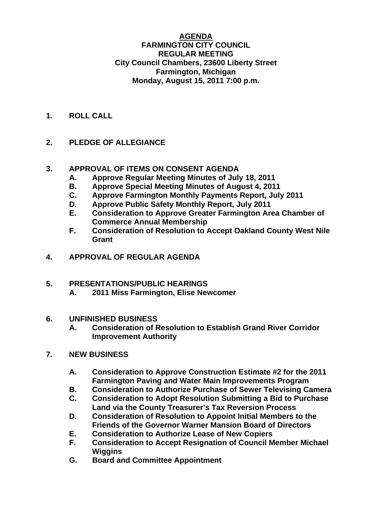#### **AGENDA FARMINGTON CITY COUNCIL REGULAR MEETING City Council Chambers, 23600 Liberty Street Farmington, Michigan Monday, August 15, 2011 7:00 p.m.**

**1. ROLL CALL** 

# **2. PLEDGE OF ALLEGIANCE**

### **3. APPROVAL OF ITEMS ON CONSENT AGENDA**

- **A. Approve Regular Meeting Minutes of July 18, 2011**
- **B. Approve Special Meeting Minutes of August 4, 2011**
- **C. Approve Farmington Monthly Payments Report, July 2011**
- **D. Approve Public Safety Monthly Report, July 2011**
- **E. Consideration to Approve Greater Farmington Area Chamber of Commerce Annual Membership**
- **F. Consideration of Resolution to Accept Oakland County West Nile Grant**
- **4. APPROVAL OF REGULAR AGENDA**

## **5. PRESENTATIONS/PUBLIC HEARINGS**

 **A. 2011 Miss Farmington, Elise Newcomer** 

### **6. UNFINISHED BUSINESS**

**A. Consideration of Resolution to Establish Grand River Corridor Improvement Authority** 

### **7. NEW BUSINESS**

- **A. Consideration to Approve Construction Estimate #2 for the 2011 Farmington Paving and Water Main Improvements Program**
- **B. Consideration to Authorize Purchase of Sewer Televising Camera**
- **C. Consideration to Adopt Resolution Submitting a Bid to Purchase Land via the County Treasurer's Tax Reversion Process**
- **D. Consideration of Resolution to Appoint Initial Members to the Friends of the Governor Warner Mansion Board of Directors**
- **E. Consideration to Authorize Lease of New Copiers**
- **F. Consideration to Accept Resignation of Council Member Michael Wiggins**
- **G. Board and Committee Appointment**